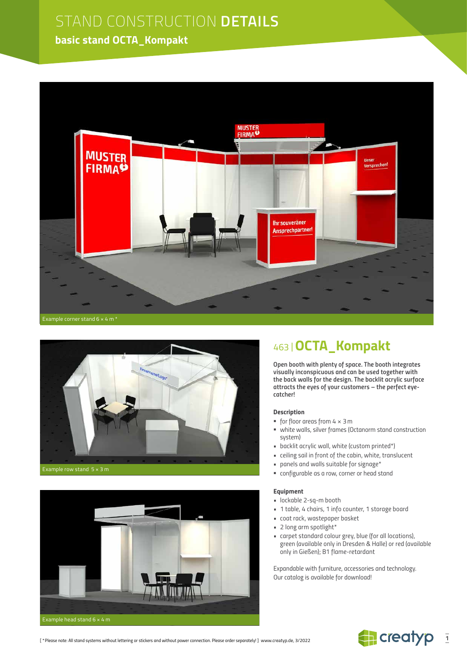# STAND CONSTRUCTION **DETAILS**

### **basic stand OCTA\_Kompakt**







## *463 |***OCTA\_Kompakt**

*Open booth with plenty of space. The booth integrates visually inconspicuous and can be used together with the back walls for the design. The backlit acrylic surface attracts the eyes of your customers – the perfect eyecatcher!*

#### *Description*

- *for floor areas from 4 × 3m*
- *white walls, silver frames (Octanorm stand construction system)*
- *backlit acrylic wall, white (custom printed\*)*
- *ceiling sail in front of the cabin, white, translucent*
- *panels and walls suitable for signage\**
- *configurable as a row, corner or head stand*

#### *Equipment*

- *lockable 2-sq-m booth*
- *1 table, 4 chairs, 1 info counter, 1 storage board*
- *coat rack, wastepaper basket*
- *• 2 long arm spotlight\**
- *carpet standard colour grey, blue (for all locations), green (available only in Dresden & Halle) or red (available only in Gießen); B1 flame-retardant*

*Expandable with furniture, accessories and technology. Our catalog is available for download!*



*[ \*Please note: All stand systems without lettering or stickers and without power connection. Please order separately! ]* www.creatyp.de, 3/2022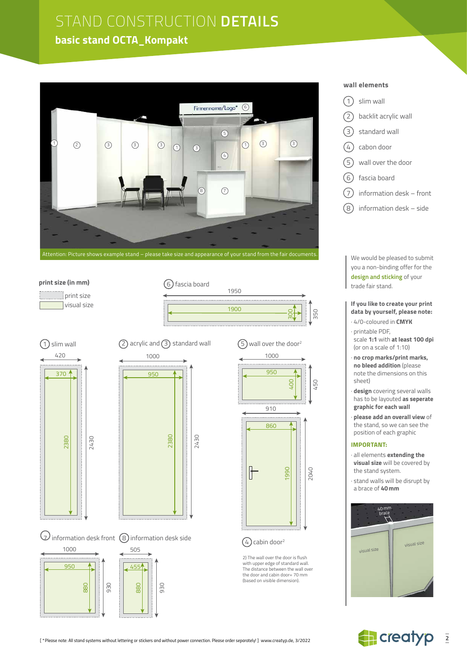# STAND CONSTRUCTION **DETAILS**

### **basic stand OCTA\_Kompakt**



6 fascia board

1950

1900

#### **print size (in mm)**







 $\mathcal U$  information desk front  $\,$  (8) information desk side





 $(5)$  wall over the door<sup>2</sup> 1000

300

350

#### $(4)$  cabin door<sup>2</sup>

2) The wall over the door is flush with upper edge of standard wall. The distance between the wall over the door and cabin door= 70 mm (based on visible dimension).

#### **wall elements**

- 1 slim wall
- $(2)$  backlit acrylic wall
- 3 standard wall
- $(4)$  cabon door
- 5 wall over the door
- 6 fascia board
- $(7)$  information desk front
- $(8)$  information desk side

We would be pleased to submit you a non-binding offer for the **design and sticking** of your trade fair stand.

#### **If you like to create your print data by yourself, please note:**

- · 4/0-coloured in **CMYK**
- · printable PDF, scale **1:1** with **at least 100 dpi** (or on a scale of 1:10)
- · **no crop marks/print marks, no bleed addition** (please note the dimensions on this sheet)
- · **design** covering several walls has to be layouted **as seperate graphic for each wall**
- · **please add an overall view** of the stand, so we can see the position of each graphic

#### **IMPORTANT:**

- · all elements **extending the visual size** will be covered by the stand system.
- · stand walls will be disrupt by a brace of **40mm**



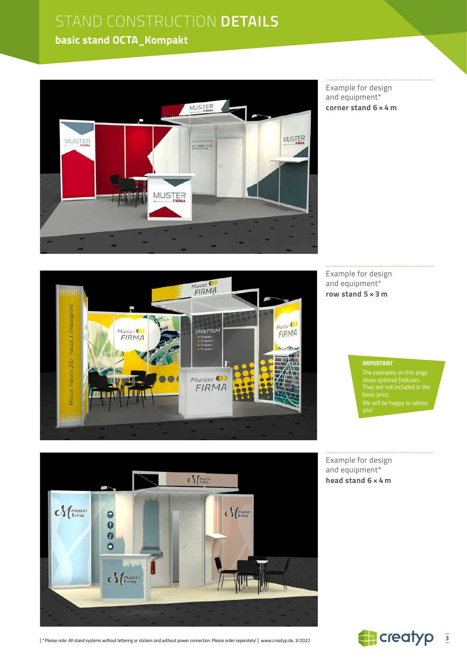# STAND CONSTRUCTION **DETAILS**

## **basic stand OCTA\_Kompakt**



Example for design and equipment\* **corner stand 6 × 4 m**



Example for design and equipment\* **row stand 5 × 3 m**

#### *IMPORTANT*

*The examples on this page show optional features. We will be happy to advise* 

Example for design and equipment\* **head stand 6 × 4 m**



*[ \*Please note: All stand systems without lettering or stickers and without power connection. Please order separately! ]* www.creatyp.de, 3/2022